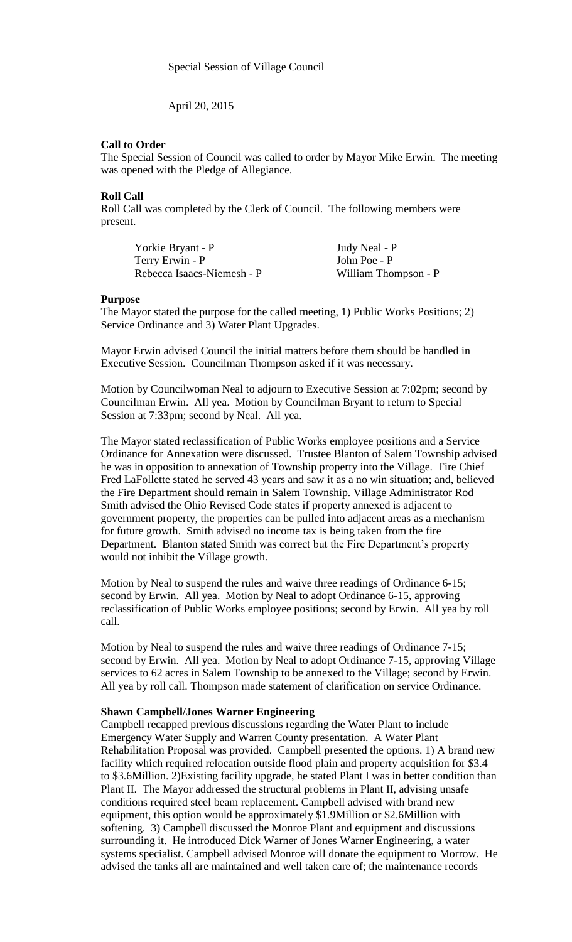April 20, 2015

## **Call to Order**

The Special Session of Council was called to order by Mayor Mike Erwin. The meeting was opened with the Pledge of Allegiance.

### **Roll Call**

Roll Call was completed by the Clerk of Council. The following members were present.

Yorkie Bryant - P Judy Neal - P Terry Erwin - P John Poe - P Rebecca Isaacs-Niemesh - P William Thompson - P

#### **Purpose**

The Mayor stated the purpose for the called meeting, 1) Public Works Positions; 2) Service Ordinance and 3) Water Plant Upgrades.

Mayor Erwin advised Council the initial matters before them should be handled in Executive Session. Councilman Thompson asked if it was necessary.

Motion by Councilwoman Neal to adjourn to Executive Session at 7:02pm; second by Councilman Erwin. All yea. Motion by Councilman Bryant to return to Special Session at 7:33pm; second by Neal. All yea.

The Mayor stated reclassification of Public Works employee positions and a Service Ordinance for Annexation were discussed. Trustee Blanton of Salem Township advised he was in opposition to annexation of Township property into the Village. Fire Chief Fred LaFollette stated he served 43 years and saw it as a no win situation; and, believed the Fire Department should remain in Salem Township. Village Administrator Rod Smith advised the Ohio Revised Code states if property annexed is adjacent to government property, the properties can be pulled into adjacent areas as a mechanism for future growth. Smith advised no income tax is being taken from the fire Department. Blanton stated Smith was correct but the Fire Department's property would not inhibit the Village growth.

Motion by Neal to suspend the rules and waive three readings of Ordinance 6-15; second by Erwin. All yea. Motion by Neal to adopt Ordinance 6-15, approving reclassification of Public Works employee positions; second by Erwin. All yea by roll call.

Motion by Neal to suspend the rules and waive three readings of Ordinance 7-15; second by Erwin. All yea. Motion by Neal to adopt Ordinance 7-15, approving Village services to 62 acres in Salem Township to be annexed to the Village; second by Erwin. All yea by roll call. Thompson made statement of clarification on service Ordinance.

### **Shawn Campbell/Jones Warner Engineering**

Campbell recapped previous discussions regarding the Water Plant to include Emergency Water Supply and Warren County presentation. A Water Plant Rehabilitation Proposal was provided. Campbell presented the options. 1) A brand new facility which required relocation outside flood plain and property acquisition for \$3.4 to \$3.6Million. 2)Existing facility upgrade, he stated Plant I was in better condition than Plant II. The Mayor addressed the structural problems in Plant II, advising unsafe conditions required steel beam replacement. Campbell advised with brand new equipment, this option would be approximately \$1.9Million or \$2.6Million with softening. 3) Campbell discussed the Monroe Plant and equipment and discussions surrounding it. He introduced Dick Warner of Jones Warner Engineering, a water systems specialist. Campbell advised Monroe will donate the equipment to Morrow. He advised the tanks all are maintained and well taken care of; the maintenance records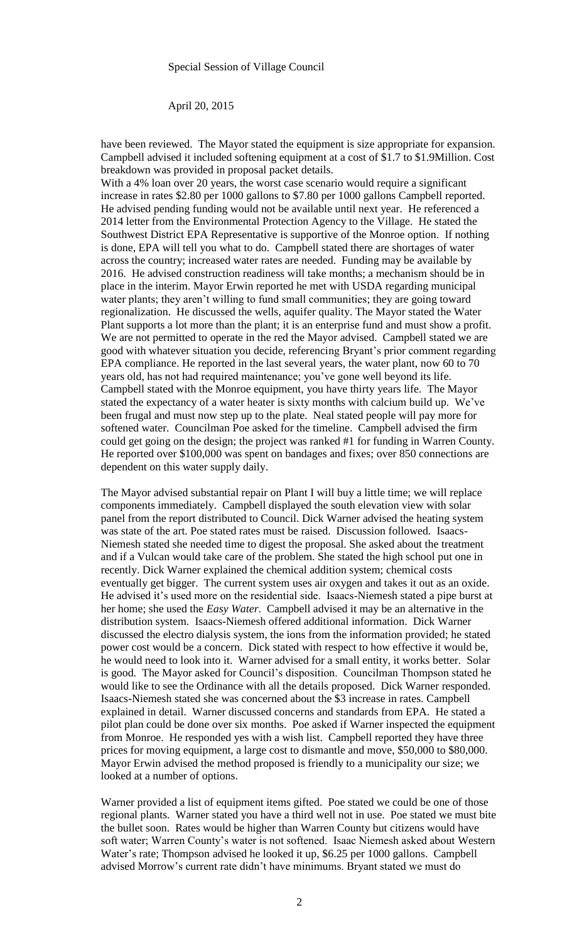### April 20, 2015

have been reviewed. The Mayor stated the equipment is size appropriate for expansion. Campbell advised it included softening equipment at a cost of \$1.7 to \$1.9Million. Cost breakdown was provided in proposal packet details.

With a 4% loan over 20 years, the worst case scenario would require a significant increase in rates \$2.80 per 1000 gallons to \$7.80 per 1000 gallons Campbell reported. He advised pending funding would not be available until next year. He referenced a 2014 letter from the Environmental Protection Agency to the Village. He stated the Southwest District EPA Representative is supportive of the Monroe option. If nothing is done, EPA will tell you what to do. Campbell stated there are shortages of water across the country; increased water rates are needed. Funding may be available by 2016. He advised construction readiness will take months; a mechanism should be in place in the interim. Mayor Erwin reported he met with USDA regarding municipal water plants; they aren't willing to fund small communities; they are going toward regionalization. He discussed the wells, aquifer quality. The Mayor stated the Water Plant supports a lot more than the plant; it is an enterprise fund and must show a profit. We are not permitted to operate in the red the Mayor advised. Campbell stated we are good with whatever situation you decide, referencing Bryant's prior comment regarding EPA compliance. He reported in the last several years, the water plant, now 60 to 70 years old, has not had required maintenance; you've gone well beyond its life. Campbell stated with the Monroe equipment, you have thirty years life. The Mayor stated the expectancy of a water heater is sixty months with calcium build up. We've been frugal and must now step up to the plate. Neal stated people will pay more for softened water. Councilman Poe asked for the timeline. Campbell advised the firm could get going on the design; the project was ranked #1 for funding in Warren County. He reported over \$100,000 was spent on bandages and fixes; over 850 connections are dependent on this water supply daily.

The Mayor advised substantial repair on Plant I will buy a little time; we will replace components immediately. Campbell displayed the south elevation view with solar panel from the report distributed to Council. Dick Warner advised the heating system was state of the art. Poe stated rates must be raised. Discussion followed. Isaacs-Niemesh stated she needed time to digest the proposal. She asked about the treatment and if a Vulcan would take care of the problem. She stated the high school put one in recently. Dick Warner explained the chemical addition system; chemical costs eventually get bigger. The current system uses air oxygen and takes it out as an oxide. He advised it's used more on the residential side. Isaacs-Niemesh stated a pipe burst at her home; she used the *Easy Water*. Campbell advised it may be an alternative in the distribution system. Isaacs-Niemesh offered additional information. Dick Warner discussed the electro dialysis system, the ions from the information provided; he stated power cost would be a concern. Dick stated with respect to how effective it would be, he would need to look into it. Warner advised for a small entity, it works better. Solar is good. The Mayor asked for Council's disposition. Councilman Thompson stated he would like to see the Ordinance with all the details proposed. Dick Warner responded. Isaacs-Niemesh stated she was concerned about the \$3 increase in rates. Campbell explained in detail. Warner discussed concerns and standards from EPA. He stated a pilot plan could be done over six months. Poe asked if Warner inspected the equipment from Monroe. He responded yes with a wish list. Campbell reported they have three prices for moving equipment, a large cost to dismantle and move, \$50,000 to \$80,000. Mayor Erwin advised the method proposed is friendly to a municipality our size; we looked at a number of options.

Warner provided a list of equipment items gifted. Poe stated we could be one of those regional plants. Warner stated you have a third well not in use. Poe stated we must bite the bullet soon. Rates would be higher than Warren County but citizens would have soft water; Warren County's water is not softened. Isaac Niemesh asked about Western Water's rate; Thompson advised he looked it up, \$6.25 per 1000 gallons. Campbell advised Morrow's current rate didn't have minimums. Bryant stated we must do